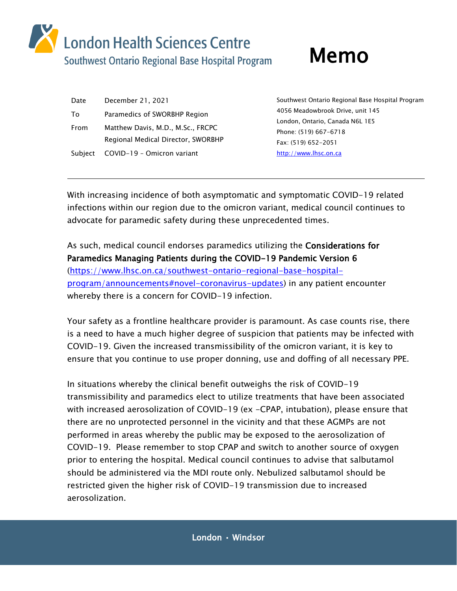

| Date    | December 21, 2021                  |
|---------|------------------------------------|
| To      | Paramedics of SWORBHP Region       |
| From    | Matthew Davis, M.D., M.Sc., FRCPC  |
|         | Regional Medical Director, SWORBHP |
| Subiect | COVID-19 - Omicron variant         |

Southwest Ontario Regional Base Hospital Program 4056 Meadowbrook Drive, unit 145 London, Ontario, Canada N6L 1E5 Phone: (519) 667-6718 Fax: (519) 652-2051 [http://www.lhsc.on.ca](http://www.lhsc.on.ca/)

With increasing incidence of both asymptomatic and symptomatic COVID-19 related infections within our region due to the omicron variant, medical council continues to advocate for paramedic safety during these unprecedented times.

As such, medical council endorses paramedics utilizing the Considerations for Paramedics Managing Patients during the COVID-19 Pandemic Version 6 [\(https://www.lhsc.on.ca/southwest-ontario-regional-base-hospital](https://www.lhsc.on.ca/southwest-ontario-regional-base-hospital-program/announcements#novel-coronavirus-updates)[program/announcements#novel-coronavirus-updates\)](https://www.lhsc.on.ca/southwest-ontario-regional-base-hospital-program/announcements#novel-coronavirus-updates) in any patient encounter whereby there is a concern for COVID-19 infection.

Your safety as a frontline healthcare provider is paramount. As case counts rise, there is a need to have a much higher degree of suspicion that patients may be infected with COVID-19. Given the increased transmissibility of the omicron variant, it is key to ensure that you continue to use proper donning, use and doffing of all necessary PPE.

In situations whereby the clinical benefit outweighs the risk of COVID-19 transmissibility and paramedics elect to utilize treatments that have been associated with increased aerosolization of COVID-19 (ex -CPAP, intubation), please ensure that there are no unprotected personnel in the vicinity and that these AGMPs are not performed in areas whereby the public may be exposed to the aerosolization of COVID-19. Please remember to stop CPAP and switch to another source of oxygen prior to entering the hospital. Medical council continues to advise that salbutamol should be administered via the MDI route only. Nebulized salbutamol should be restricted given the higher risk of COVID-19 transmission due to increased aerosolization.